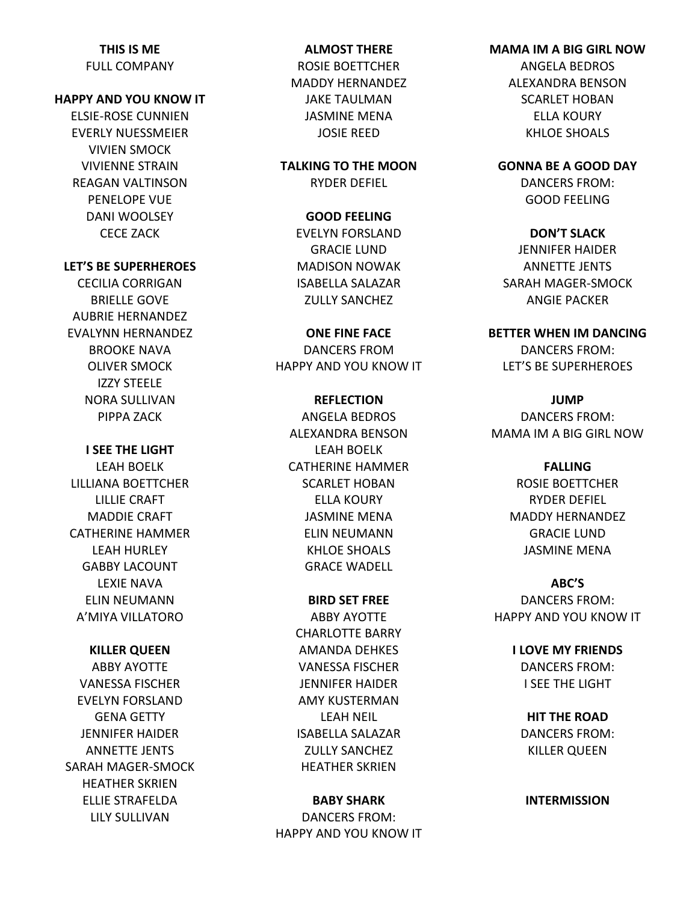## **THIS IS ME**

FULL COMPANY

### **HAPPY AND YOU KNOW IT**

ELSIE-ROSE CUNNIEN EVERLY NUESSMEIER VIVIEN SMOCK VIVIENNE STRAIN REAGAN VALTINSON PENELOPE VUE DANI WOOLSEY CECE ZACK

### **LET'S BE SUPERHEROES**

CECILIA CORRIGAN BRIELLE GOVE AUBRIE HERNANDEZ EVALYNN HERNANDEZ BROOKE NAVA OLIVER SMOCK IZZY STEELE NORA SULLIVAN PIPPA ZACK

**I SEE THE LIGHT**

LEAH BOELK LILLIANA BOETTCHER LILLIE CRAFT MADDIE CRAFT CATHERINE HAMMER LEAH HURLEY GABBY LACOUNT LEXIE NAVA ELIN NEUMANN A'MIYA VILLATORO

### **KILLER QUEEN**

ABBY AYOTTE VANESSA FISCHER EVELYN FORSLAND GENA GETTY JENNIFER HAIDER ANNETTE JENTS SARAH MAGER-SMOCK HEATHER SKRIEN ELLIE STRAFELDA LILY SULLIVAN

## **ALMOST THERE** ROSIE BOETTCHER MADDY HERNANDEZ JAKE TAULMAN JASMINE MENA

**TALKING TO THE MOON** RYDER DEFIEL

JOSIE REED

**GOOD FEELING** EVELYN FORSLAND GRACIE LUND MADISON NOWAK ISABELLA SALAZAR ZULLY SANCHEZ

**ONE FINE FACE** DANCERS FROM HAPPY AND YOU KNOW IT

**REFLECTION** ANGELA BEDROS ALEXANDRA BENSON LEAH BOELK CATHERINE HAMMER SCARLET HOBAN ELLA KOURY JASMINE MENA ELIN NEUMANN KHLOE SHOALS GRACE WADELL

**BIRD SET FREE** ABBY AYOTTE CHARLOTTE BARRY AMANDA DEHKES VANESSA FISCHER JENNIFER HAIDER AMY KUSTERMAN LEAH NEIL ISABELLA SALAZAR ZULLY SANCHEZ HEATHER SKRIEN

## **BABY SHARK**

DANCERS FROM: HAPPY AND YOU KNOW IT

# **MAMA IM A BIG GIRL NOW**

ANGELA BEDROS ALEXANDRA BENSON SCARLET HOBAN ELLA KOURY KHLOE SHOALS

**GONNA BE A GOOD DAY** DANCERS FROM: GOOD FEELING

**DON'T SLACK** JENNIFER HAIDER ANNETTE JENTS SARAH MAGER-SMOCK ANGIE PACKER

**BETTER WHEN IM DANCING** DANCERS FROM: LET'S BE SUPERHEROES

**JUMP** DANCERS FROM: MAMA IM A BIG GIRL NOW

> **FALLING** ROSIE BOETTCHER RYDER DEFIEL MADDY HERNANDEZ GRACIE LUND JASMINE MENA

**ABC'S** DANCERS FROM:

HAPPY AND YOU KNOW IT

**I LOVE MY FRIENDS** DANCERS FROM: I SEE THE LIGHT

**HIT THE ROAD** DANCERS FROM: KILLER QUEEN

**INTERMISSION**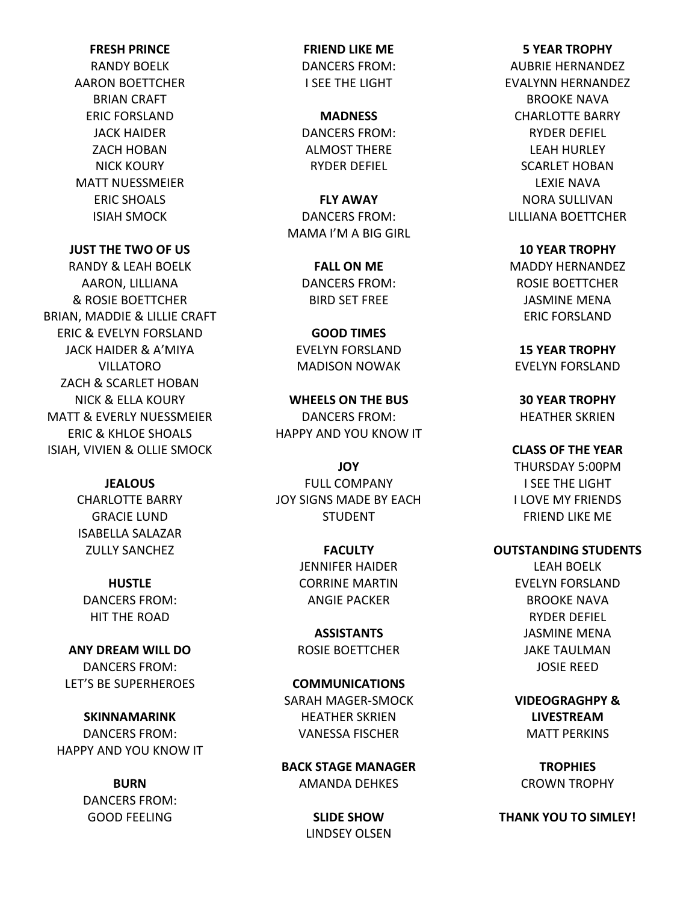### **FRESH PRINCE**

RANDY BOELK AARON BOETTCHER BRIAN CRAFT ERIC FORSLAND JACK HAIDER ZACH HOBAN NICK KOURY MATT NUESSMEIER ERIC SHOALS ISIAH SMOCK

**JUST THE TWO OF US**

RANDY & LEAH BOELK AARON, LILLIANA & ROSIE BOETTCHER BRIAN, MADDIE & LILLIE CRAFT ERIC & EVELYN FORSLAND JACK HAIDER & A'MIYA VILLATORO ZACH & SCARLET HOBAN NICK & ELLA KOURY MATT & EVERLY NUESSMEIER ERIC & KHLOE SHOALS ISIAH, VIVIEN & OLLIE SMOCK

**JEALOUS**

CHARLOTTE BARRY GRACIE LUND ISABELLA SALAZAR ZULLY SANCHEZ

**HUSTLE** DANCERS FROM: HIT THE ROAD

**ANY DREAM WILL DO** DANCERS FROM: LET'S BE SUPERHEROES

**SKINNAMARINK** DANCERS FROM: HAPPY AND YOU KNOW IT

> **BURN** DANCERS FROM: GOOD FEELING

**FRIEND LIKE ME** DANCERS FROM: I SEE THE LIGHT

**MADNESS** DANCERS FROM: ALMOST THERE RYDER DEFIEL

**FLY AWAY** DANCERS FROM: MAMA I'M A BIG GIRL

> **FALL ON ME** DANCERS FROM: BIRD SET FREE

**GOOD TIMES** EVELYN FORSLAND MADISON NOWAK

**WHEELS ON THE BUS** DANCERS FROM: HAPPY AND YOU KNOW IT

**JOY** FULL COMPANY JOY SIGNS MADE BY EACH STUDENT

> **FACULTY** JENNIFER HAIDER CORRINE MARTIN ANGIE PACKER

**ASSISTANTS** ROSIE BOETTCHER

**COMMUNICATIONS** SARAH MAGER-SMOCK HEATHER SKRIEN VANESSA FISCHER

**BACK STAGE MANAGER** AMANDA DEHKES

> **SLIDE SHOW**  LINDSEY OLSEN

# **5 YEAR TROPHY** AUBRIE HERNANDEZ EVALYNN HERNANDEZ BROOKE NAVA CHARLOTTE BARRY RYDER DEFIEL LEAH HURLEY SCARLET HOBAN LEXIE NAVA NORA SULLIVAN

LILLIANA BOETTCHER **10 YEAR TROPHY** MADDY HERNANDEZ

ROSIE BOETTCHER JASMINE MENA ERIC FORSLAND

**15 YEAR TROPHY** EVELYN FORSLAND

**30 YEAR TROPHY** HEATHER SKRIEN

**CLASS OF THE YEAR** THURSDAY 5:00PM I SEE THE LIGHT I LOVE MY FRIENDS FRIEND LIKE ME

### **OUTSTANDING STUDENTS**

LEAH BOELK EVELYN FORSLAND BROOKE NAVA RYDER DEFIEL JASMINE MENA JAKE TAULMAN JOSIE REED

**VIDEOGRAGHPY & LIVESTREAM** MATT PERKINS

**TROPHIES** CROWN TROPHY

**THANK YOU TO SIMLEY!**